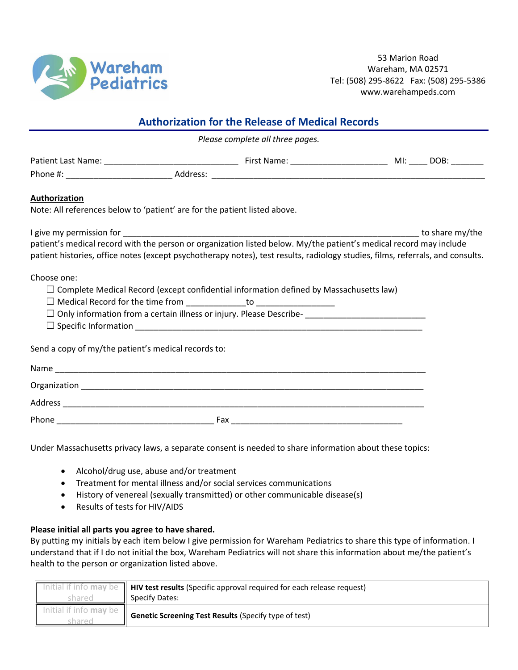

53 Marion Road Wareham, MA 02571 Tel: (508) 295-8622 Fax: (508) 295-5386 www.warehampeds.com

| <b>Authorization for the Release of Medical Records</b><br>Please complete all three pages.                                                                                                                                                          |  |  |  |  |
|------------------------------------------------------------------------------------------------------------------------------------------------------------------------------------------------------------------------------------------------------|--|--|--|--|
|                                                                                                                                                                                                                                                      |  |  |  |  |
|                                                                                                                                                                                                                                                      |  |  |  |  |
|                                                                                                                                                                                                                                                      |  |  |  |  |
| to share my/the                                                                                                                                                                                                                                      |  |  |  |  |
| patient's medical record with the person or organization listed below. My/the patient's medical record may include<br>patient histories, office notes (except psychotherapy notes), test results, radiology studies, films, referrals, and consults. |  |  |  |  |
| $\Box$ Complete Medical Record (except confidential information defined by Massachusetts law)<br>□ Only information from a certain illness or injury. Please Describe-<br>□ Only information from a certain illness or injury. Please Describe-<br>□ |  |  |  |  |
|                                                                                                                                                                                                                                                      |  |  |  |  |
|                                                                                                                                                                                                                                                      |  |  |  |  |
|                                                                                                                                                                                                                                                      |  |  |  |  |
|                                                                                                                                                                                                                                                      |  |  |  |  |
|                                                                                                                                                                                                                                                      |  |  |  |  |
|                                                                                                                                                                                                                                                      |  |  |  |  |

Under Massachusetts privacy laws, a separate consent is needed to share information about these topics:

- Alcohol/drug use, abuse and/or treatment
- Treatment for mental illness and/or social services communications
- History of venereal (sexually transmitted) or other communicable disease(s)
- Results of tests for HIV/AIDS

## **Please initial all parts you agree to have shared.**

By putting my initials by each item below I give permission for Wareham Pediatrics to share this type of information. I understand that if I do not initial the box, Wareham Pediatrics will not share this information about me/the patient's health to the person or organization listed above.

|                               | Initial if info may be $\parallel$ HIV test results (Specific approval required for each release request) |  |
|-------------------------------|-----------------------------------------------------------------------------------------------------------|--|
|                               | Specify Dates:                                                                                            |  |
| initial if info <b>may</b> be | Genetic Screening Test Results (Specify type of test)                                                     |  |
|                               |                                                                                                           |  |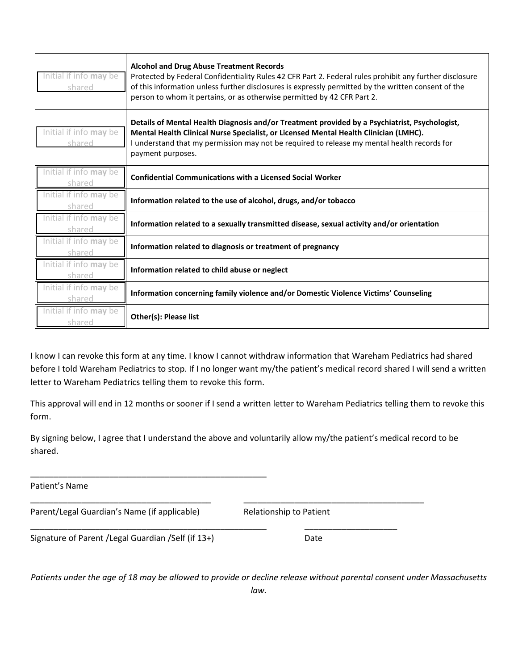| Initial if info may be<br>shared      | <b>Alcohol and Drug Abuse Treatment Records</b><br>Protected by Federal Confidentiality Rules 42 CFR Part 2. Federal rules prohibit any further disclosure<br>of this information unless further disclosures is expressly permitted by the written consent of the<br>person to whom it pertains, or as otherwise permitted by 42 CFR Part 2. |
|---------------------------------------|----------------------------------------------------------------------------------------------------------------------------------------------------------------------------------------------------------------------------------------------------------------------------------------------------------------------------------------------|
| Initial if info may be<br>shared      | Details of Mental Health Diagnosis and/or Treatment provided by a Psychiatrist, Psychologist,<br>Mental Health Clinical Nurse Specialist, or Licensed Mental Health Clinician (LMHC).<br>I understand that my permission may not be required to release my mental health records for<br>payment purposes.                                    |
| nitial if info may be                 | <b>Confidential Communications with a Licensed Social Worker</b>                                                                                                                                                                                                                                                                             |
| nitial if info <b>mav</b> be          | Information related to the use of alcohol, drugs, and/or tobacco                                                                                                                                                                                                                                                                             |
| ial if info <b>mav</b> be<br>arec     | Information related to a sexually transmitted disease, sexual activity and/or orientation                                                                                                                                                                                                                                                    |
| nitial if info <b>may</b> be<br>hared | Information related to diagnosis or treatment of pregnancy                                                                                                                                                                                                                                                                                   |
| Initial if info <b>may</b> be<br>ared | Information related to child abuse or neglect                                                                                                                                                                                                                                                                                                |
| nitial if info <b>may</b> be<br>nared | Information concerning family violence and/or Domestic Violence Victims' Counseling                                                                                                                                                                                                                                                          |
| nitial if info may be<br>shared       | Other(s): Please list                                                                                                                                                                                                                                                                                                                        |

I know I can revoke this form at any time. I know I cannot withdraw information that Wareham Pediatrics had shared before I told Wareham Pediatrics to stop. If I no longer want my/the patient's medical record shared I will send a written letter to Wareham Pediatrics telling them to revoke this form.

This approval will end in 12 months or sooner if I send a written letter to Wareham Pediatrics telling them to revoke this form.

By signing below, I agree that I understand the above and voluntarily allow my/the patient's medical record to be shared.

\_\_\_\_\_\_\_\_\_\_\_\_\_\_\_\_\_\_\_\_\_\_\_\_\_\_\_\_\_\_\_\_\_\_\_\_\_\_\_ \_\_\_\_\_\_\_\_\_\_\_\_\_\_\_\_\_\_\_\_\_\_\_\_\_\_\_\_\_\_\_\_\_\_\_\_\_\_\_

\_\_\_\_\_\_\_\_\_\_\_\_\_\_\_\_\_\_\_\_\_\_\_\_\_\_\_\_\_\_\_\_\_\_\_\_\_\_\_\_\_\_\_\_\_\_\_\_\_\_\_ \_\_\_\_\_\_\_\_\_\_\_\_\_\_\_\_\_\_\_\_

Patient's Name

Parent/Legal Guardian's Name (if applicable) Relationship to Patient

\_\_\_\_\_\_\_\_\_\_\_\_\_\_\_\_\_\_\_\_\_\_\_\_\_\_\_\_\_\_\_\_\_\_\_\_\_\_\_\_\_\_\_\_\_\_\_\_\_\_\_

Signature of Parent / Legal Guardian / Self (if 13+) Date

*Patients under the age of 18 may be allowed to provide or decline release without parental consent under Massachusetts law.*